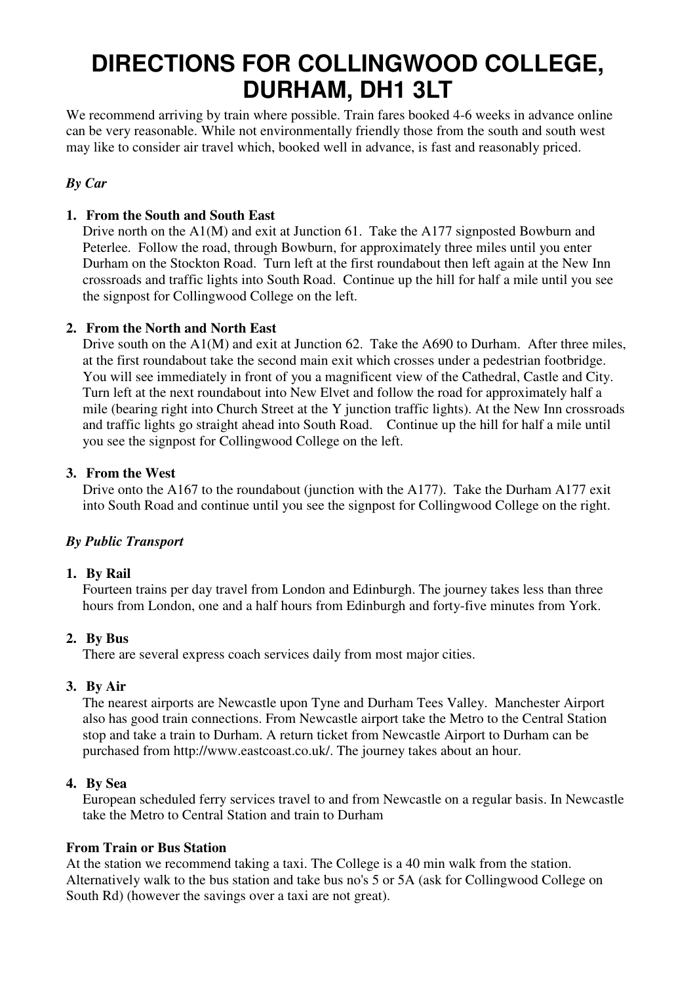# **DIRECTIONS FOR COLLINGWOOD COLLEGE, DURHAM, DH1 3LT**

We recommend arriving by train where possible. Train fares booked 4-6 weeks in advance online can be very reasonable. While not environmentally friendly those from the south and south west may like to consider air travel which, booked well in advance, is fast and reasonably priced.

## *By Car*

## **1. From the South and South East**

Drive north on the A1(M) and exit at Junction 61. Take the A177 signposted Bowburn and Peterlee. Follow the road, through Bowburn, for approximately three miles until you enter Durham on the Stockton Road. Turn left at the first roundabout then left again at the New Inn crossroads and traffic lights into South Road. Continue up the hill for half a mile until you see the signpost for Collingwood College on the left.

### **2. From the North and North East**

Drive south on the A1(M) and exit at Junction 62. Take the A690 to Durham. After three miles, at the first roundabout take the second main exit which crosses under a pedestrian footbridge. You will see immediately in front of you a magnificent view of the Cathedral, Castle and City. Turn left at the next roundabout into New Elvet and follow the road for approximately half a mile (bearing right into Church Street at the Y junction traffic lights). At the New Inn crossroads and traffic lights go straight ahead into South Road. Continue up the hill for half a mile until you see the signpost for Collingwood College on the left.

#### **3. From the West**

Drive onto the A167 to the roundabout (junction with the A177). Take the Durham A177 exit into South Road and continue until you see the signpost for Collingwood College on the right.

## *By Public Transport*

#### **1. By Rail**

Fourteen trains per day travel from London and Edinburgh. The journey takes less than three hours from London, one and a half hours from Edinburgh and forty-five minutes from York.

#### **2. By Bus**

There are several express coach services daily from most major cities.

#### **3. By Air**

The nearest airports are Newcastle upon Tyne and Durham Tees Valley. Manchester Airport also has good train connections. From Newcastle airport take the Metro to the Central Station stop and take a train to Durham. A return ticket from Newcastle Airport to Durham can be purchased from http://www.eastcoast.co.uk/. The journey takes about an hour.

#### **4. By Sea**

European scheduled ferry services travel to and from Newcastle on a regular basis. In Newcastle take the Metro to Central Station and train to Durham

#### **From Train or Bus Station**

At the station we recommend taking a taxi. The College is a 40 min walk from the station. Alternatively walk to the bus station and take bus no's 5 or 5A (ask for Collingwood College on South Rd) (however the savings over a taxi are not great).